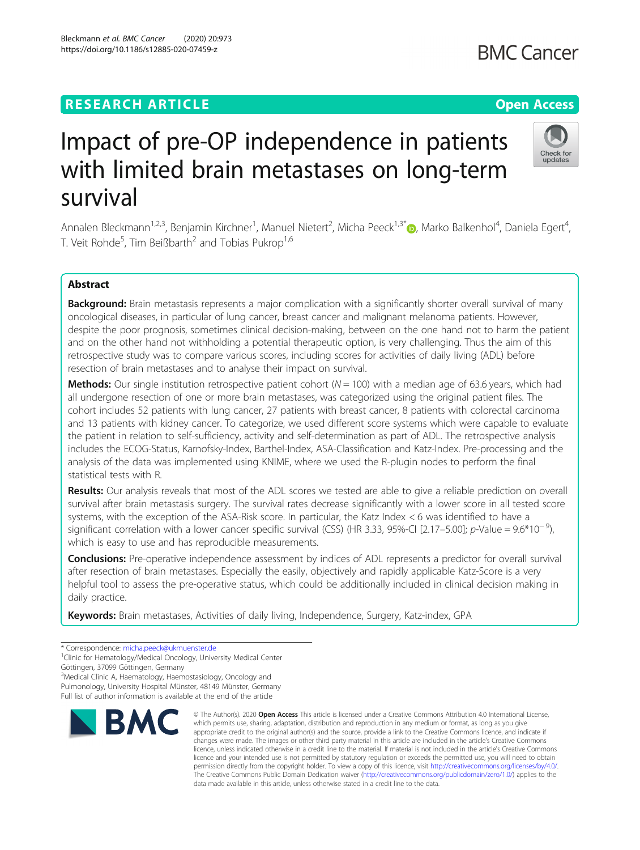## **RESEARCH ARTICLE Example 2014 12:30 The Contract of Contract ACCESS**

# Impact of pre-OP independence in patients with limited brain metastases on long-term survival

Annalen Bleckmann<sup>1,2,3</sup>, Benjamin Kirchner<sup>1</sup>, Manuel Nietert<sup>2</sup>, Micha Peeck<sup>1,3\*</sup>®, Marko Balkenhol<sup>4</sup>, Daniela Egert<sup>4</sup> , T. Veit Rohde<sup>5</sup>, Tim Beißbarth<sup>2</sup> and Tobias Pukrop<sup>1,6</sup>

### Abstract

Background: Brain metastasis represents a major complication with a significantly shorter overall survival of many oncological diseases, in particular of lung cancer, breast cancer and malignant melanoma patients. However, despite the poor prognosis, sometimes clinical decision-making, between on the one hand not to harm the patient and on the other hand not withholding a potential therapeutic option, is very challenging. Thus the aim of this retrospective study was to compare various scores, including scores for activities of daily living (ADL) before resection of brain metastases and to analyse their impact on survival.

**Methods:** Our single institution retrospective patient cohort ( $N = 100$ ) with a median age of 63.6 years, which had all undergone resection of one or more brain metastases, was categorized using the original patient files. The cohort includes 52 patients with lung cancer, 27 patients with breast cancer, 8 patients with colorectal carcinoma and 13 patients with kidney cancer. To categorize, we used different score systems which were capable to evaluate the patient in relation to self-sufficiency, activity and self-determination as part of ADL. The retrospective analysis includes the ECOG-Status, Karnofsky-Index, Barthel-Index, ASA-Classification and Katz-Index. Pre-processing and the analysis of the data was implemented using KNIME, where we used the R-plugin nodes to perform the final statistical tests with R.

Results: Our analysis reveals that most of the ADL scores we tested are able to give a reliable prediction on overall survival after brain metastasis surgery. The survival rates decrease significantly with a lower score in all tested score systems, with the exception of the ASA-Risk score. In particular, the Katz Index < 6 was identified to have a significant correlation with a lower cancer specific survival (CSS) (HR 3.33, 95%-CI [2.17–5.00]; p-Value =  $9.6*10^{-9}$ ) which is easy to use and has reproducible measurements.

**Conclusions:** Pre-operative independence assessment by indices of ADL represents a predictor for overall survival after resection of brain metastases. Especially the easily, objectively and rapidly applicable Katz-Score is a very helpful tool to assess the pre-operative status, which could be additionally included in clinical decision making in daily practice.

Keywords: Brain metastases, Activities of daily living, Independence, Surgery, Katz-index, GPA

<sup>3</sup>Medical Clinic A, Haematology, Haemostasiology, Oncology and

Pulmonology, University Hospital Münster, 48149 Münster, Germany

Full list of author information is available at the end of the article



<sup>©</sup> The Author(s), 2020 **Open Access** This article is licensed under a Creative Commons Attribution 4.0 International License, which permits use, sharing, adaptation, distribution and reproduction in any medium or format, as long as you give appropriate credit to the original author(s) and the source, provide a link to the Creative Commons licence, and indicate if changes were made. The images or other third party material in this article are included in the article's Creative Commons licence, unless indicated otherwise in a credit line to the material. If material is not included in the article's Creative Commons licence and your intended use is not permitted by statutory regulation or exceeds the permitted use, you will need to obtain permission directly from the copyright holder. To view a copy of this licence, visit [http://creativecommons.org/licenses/by/4.0/.](http://creativecommons.org/licenses/by/4.0/) The Creative Commons Public Domain Dedication waiver [\(http://creativecommons.org/publicdomain/zero/1.0/](http://creativecommons.org/publicdomain/zero/1.0/)) applies to the data made available in this article, unless otherwise stated in a credit line to the data.



<sup>\*</sup> Correspondence: [micha.peeck@ukmuenster.de](mailto:micha.peeck@ukmuenster.de) <sup>1</sup>

<sup>&</sup>lt;sup>1</sup>Clinic for Hematology/Medical Oncology, University Medical Center Göttingen, 37099 Göttingen, Germany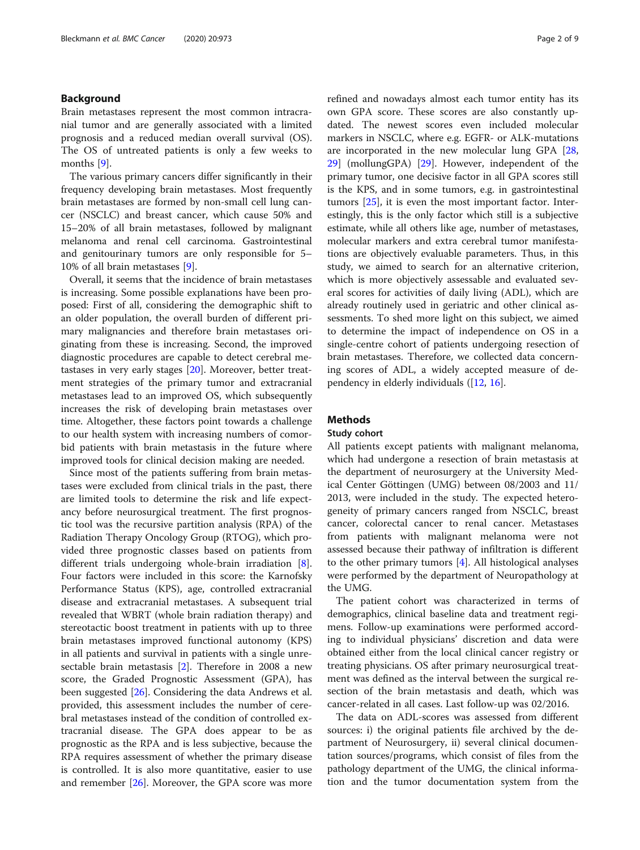#### Background

Brain metastases represent the most common intracranial tumor and are generally associated with a limited prognosis and a reduced median overall survival (OS). The OS of untreated patients is only a few weeks to months [[9\]](#page-8-0).

The various primary cancers differ significantly in their frequency developing brain metastases. Most frequently brain metastases are formed by non-small cell lung cancer (NSCLC) and breast cancer, which cause 50% and 15–20% of all brain metastases, followed by malignant melanoma and renal cell carcinoma. Gastrointestinal and genitourinary tumors are only responsible for 5– 10% of all brain metastases [\[9](#page-8-0)].

Overall, it seems that the incidence of brain metastases is increasing. Some possible explanations have been proposed: First of all, considering the demographic shift to an older population, the overall burden of different primary malignancies and therefore brain metastases originating from these is increasing. Second, the improved diagnostic procedures are capable to detect cerebral metastases in very early stages [[20](#page-8-0)]. Moreover, better treatment strategies of the primary tumor and extracranial metastases lead to an improved OS, which subsequently increases the risk of developing brain metastases over time. Altogether, these factors point towards a challenge to our health system with increasing numbers of comorbid patients with brain metastasis in the future where improved tools for clinical decision making are needed.

Since most of the patients suffering from brain metastases were excluded from clinical trials in the past, there are limited tools to determine the risk and life expectancy before neurosurgical treatment. The first prognostic tool was the recursive partition analysis (RPA) of the Radiation Therapy Oncology Group (RTOG), which provided three prognostic classes based on patients from different trials undergoing whole-brain irradiation [\[8](#page-8-0)]. Four factors were included in this score: the Karnofsky Performance Status (KPS), age, controlled extracranial disease and extracranial metastases. A subsequent trial revealed that WBRT (whole brain radiation therapy) and stereotactic boost treatment in patients with up to three brain metastases improved functional autonomy (KPS) in all patients and survival in patients with a single unresectable brain metastasis [\[2](#page-7-0)]. Therefore in 2008 a new score, the Graded Prognostic Assessment (GPA), has been suggested [[26\]](#page-8-0). Considering the data Andrews et al. provided, this assessment includes the number of cerebral metastases instead of the condition of controlled extracranial disease. The GPA does appear to be as prognostic as the RPA and is less subjective, because the RPA requires assessment of whether the primary disease is controlled. It is also more quantitative, easier to use and remember [\[26](#page-8-0)]. Moreover, the GPA score was more refined and nowadays almost each tumor entity has its own GPA score. These scores are also constantly updated. The newest scores even included molecular markers in NSCLC, where e.g. EGFR- or ALK-mutations are incorporated in the new molecular lung GPA [[28](#page-8-0), [29\]](#page-8-0) (mollungGPA) [[29](#page-8-0)]. However, independent of the primary tumor, one decisive factor in all GPA scores still is the KPS, and in some tumors, e.g. in gastrointestinal tumors [[25\]](#page-8-0), it is even the most important factor. Interestingly, this is the only factor which still is a subjective estimate, while all others like age, number of metastases, molecular markers and extra cerebral tumor manifestations are objectively evaluable parameters. Thus, in this study, we aimed to search for an alternative criterion, which is more objectively assessable and evaluated several scores for activities of daily living (ADL), which are already routinely used in geriatric and other clinical assessments. To shed more light on this subject, we aimed to determine the impact of independence on OS in a single-centre cohort of patients undergoing resection of brain metastases. Therefore, we collected data concerning scores of ADL, a widely accepted measure of dependency in elderly individuals ([[12,](#page-8-0) [16\]](#page-8-0).

#### **Methods**

#### Study cohort

All patients except patients with malignant melanoma, which had undergone a resection of brain metastasis at the department of neurosurgery at the University Medical Center Göttingen (UMG) between 08/2003 and 11/ 2013, were included in the study. The expected heterogeneity of primary cancers ranged from NSCLC, breast cancer, colorectal cancer to renal cancer. Metastases from patients with malignant melanoma were not assessed because their pathway of infiltration is different to the other primary tumors [[4\]](#page-8-0). All histological analyses were performed by the department of Neuropathology at the UMG.

The patient cohort was characterized in terms of demographics, clinical baseline data and treatment regimens. Follow-up examinations were performed according to individual physicians' discretion and data were obtained either from the local clinical cancer registry or treating physicians. OS after primary neurosurgical treatment was defined as the interval between the surgical resection of the brain metastasis and death, which was cancer-related in all cases. Last follow-up was 02/2016.

The data on ADL-scores was assessed from different sources: i) the original patients file archived by the department of Neurosurgery, ii) several clinical documentation sources/programs, which consist of files from the pathology department of the UMG, the clinical information and the tumor documentation system from the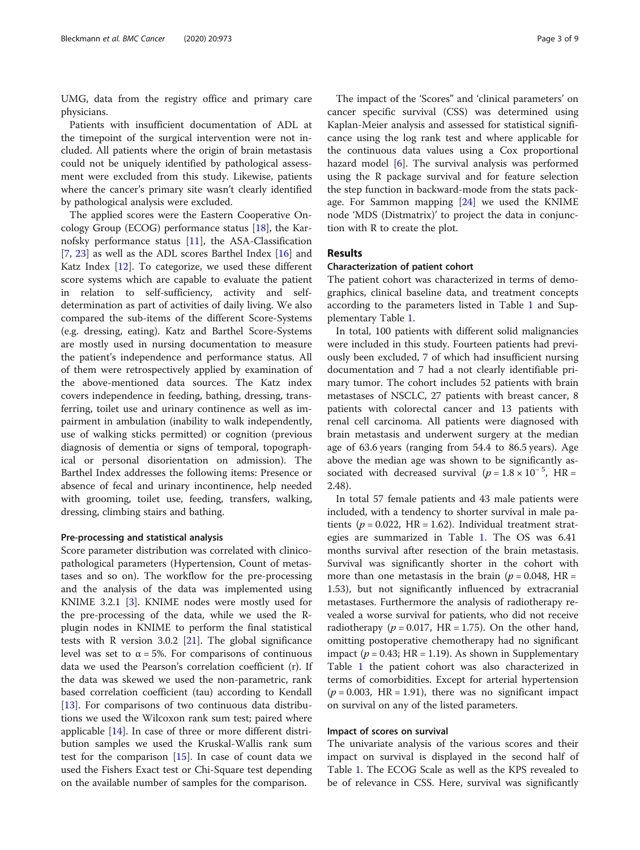UMG, data from the registry office and primary care physicians.

Patients with insufficient documentation of ADL at the timepoint of the surgical intervention were not included. All patients where the origin of brain metastasis could not be uniquely identified by pathological assessment were excluded from this study. Likewise, patients where the cancer's primary site wasn't clearly identified by pathological analysis were excluded.

The applied scores were the Eastern Cooperative Oncology Group (ECOG) performance status [[18\]](#page-8-0), the Karnofsky performance status [\[11](#page-8-0)], the ASA-Classification [[7,](#page-8-0) [23](#page-8-0)] as well as the ADL scores Barthel Index [\[16](#page-8-0)] and Katz Index  $[12]$  $[12]$ . To categorize, we used these different score systems which are capable to evaluate the patient in relation to self-sufficiency, activity and selfdetermination as part of activities of daily living. We also compared the sub-items of the different Score-Systems (e.g. dressing, eating). Katz and Barthel Score-Systems are mostly used in nursing documentation to measure the patient's independence and performance status. All of them were retrospectively applied by examination of the above-mentioned data sources. The Katz index covers independence in feeding, bathing, dressing, transferring, toilet use and urinary continence as well as impairment in ambulation (inability to walk independently, use of walking sticks permitted) or cognition (previous diagnosis of dementia or signs of temporal, topographical or personal disorientation on admission). The Barthel Index addresses the following items: Presence or absence of fecal and urinary incontinence, help needed with grooming, toilet use, feeding, transfers, walking, dressing, climbing stairs and bathing.

#### Pre-processing and statistical analysis

Score parameter distribution was correlated with clinicopathological parameters (Hypertension, Count of metastases and so on). The workflow for the pre-processing and the analysis of the data was implemented using KNIME 3.2.1 [\[3\]](#page-7-0). KNIME nodes were mostly used for the pre-processing of the data, while we used the Rplugin nodes in KNIME to perform the final statistical tests with R version 3.0.2  $[21]$  $[21]$ . The global significance level was set to  $\alpha$  = 5%. For comparisons of continuous data we used the Pearson's correlation coefficient (r). If the data was skewed we used the non-parametric, rank based correlation coefficient (tau) according to Kendall [[13\]](#page-8-0). For comparisons of two continuous data distributions we used the Wilcoxon rank sum test; paired where applicable [\[14\]](#page-8-0). In case of three or more different distribution samples we used the Kruskal-Wallis rank sum test for the comparison [[15\]](#page-8-0). In case of count data we used the Fishers Exact test or Chi-Square test depending on the available number of samples for the comparison.

The impact of the 'Scores" and 'clinical parameters' on cancer specific survival (CSS) was determined using Kaplan-Meier analysis and assessed for statistical significance using the log rank test and where applicable for the continuous data values using a Cox proportional hazard model [[6](#page-8-0)]. The survival analysis was performed using the R package survival and for feature selection the step function in backward-mode from the stats package. For Sammon mapping [\[24\]](#page-8-0) we used the KNIME node 'MDS (Distmatrix)' to project the data in conjunction with R to create the plot.

#### Results

#### Characterization of patient cohort

The patient cohort was characterized in terms of demographics, clinical baseline data, and treatment concepts according to the parameters listed in Table [1](#page-3-0) and Supplementary Table [1](#page-7-0).

In total, 100 patients with different solid malignancies were included in this study. Fourteen patients had previously been excluded, 7 of which had insufficient nursing documentation and 7 had a not clearly identifiable primary tumor. The cohort includes 52 patients with brain metastases of NSCLC, 27 patients with breast cancer, 8 patients with colorectal cancer and 13 patients with renal cell carcinoma. All patients were diagnosed with brain metastasis and underwent surgery at the median age of 63.6 years (ranging from 54.4 to 86.5 years). Age above the median age was shown to be significantly associated with decreased survival  $(p = 1.8 \times 10^{-5}, \text{ HR} =$ 2.48).

In total 57 female patients and 43 male patients were included, with a tendency to shorter survival in male patients ( $p = 0.022$ , HR = 1.62). Individual treatment strategies are summarized in Table [1](#page-3-0). The OS was 6.41 months survival after resection of the brain metastasis. Survival was significantly shorter in the cohort with more than one metastasis in the brain ( $p = 0.048$ , HR = 1.53), but not significantly influenced by extracranial metastases. Furthermore the analysis of radiotherapy revealed a worse survival for patients, who did not receive radiotherapy ( $p = 0.017$ , HR = 1.75). On the other hand, omitting postoperative chemotherapy had no significant impact ( $p = 0.43$ ; HR = 1.19). As shown in Supplementary Table [1](#page-7-0) the patient cohort was also characterized in terms of comorbidities. Except for arterial hypertension  $(p = 0.003, HR = 1.91)$ , there was no significant impact on survival on any of the listed parameters.

#### Impact of scores on survival

The univariate analysis of the various scores and their impact on survival is displayed in the second half of Table [1.](#page-3-0) The ECOG Scale as well as the KPS revealed to be of relevance in CSS. Here, survival was significantly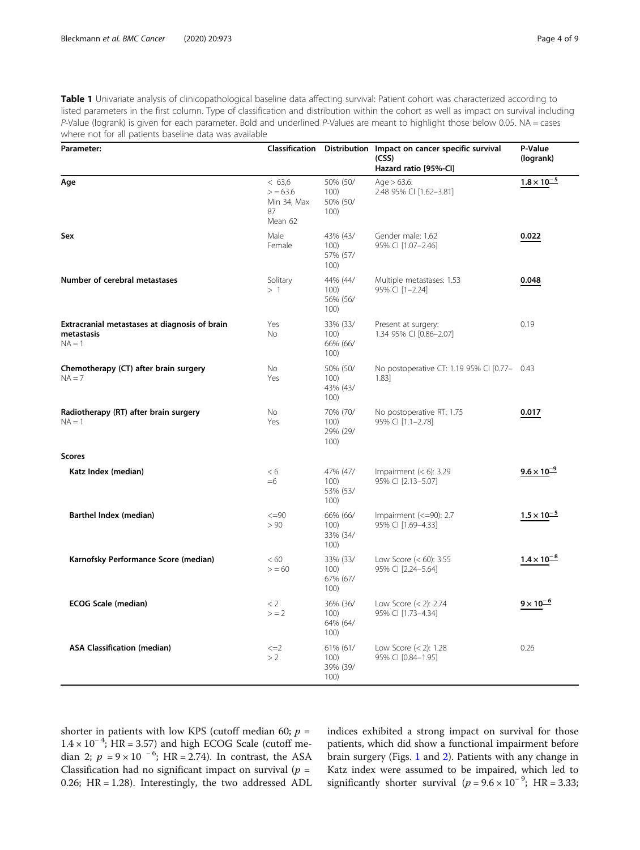<span id="page-3-0"></span>Table 1 Univariate analysis of clinicopathological baseline data affecting survival: Patient cohort was characterized according to listed parameters in the first column. Type of classification and distribution within the cohort as well as impact on survival including P-Value (logrank) is given for each parameter. Bold and underlined P-Values are meant to highlight those below 0.05. NA = cases where not for all patients baseline data was available

| Parameter:                                                              |                                                  |                                      | Classification Distribution Impact on cancer specific survival<br>(CSS)<br>Hazard ratio [95%-Cl] | P-Value<br>(logrank) |
|-------------------------------------------------------------------------|--------------------------------------------------|--------------------------------------|--------------------------------------------------------------------------------------------------|----------------------|
| Age                                                                     | < 63.6<br>> 63.6<br>Min 34, Max<br>87<br>Mean 62 | 50% (50/<br>100)<br>50% (50/<br>100) | Age $> 63.6$ :<br>2.48 95% CI [1.62-3.81]                                                        | $1.8 \times 10^{-5}$ |
| Sex                                                                     | Male<br>Female                                   | 43% (43/<br>100)<br>57% (57/<br>100) | Gender male: 1.62<br>95% CI [1.07-2.46]                                                          | 0.022                |
| Number of cerebral metastases                                           | Solitary<br>>1                                   | 44% (44/<br>100)<br>56% (56/<br>100) | Multiple metastases: 1.53<br>95% CI [1-2.24]                                                     | 0.048                |
| Extracranial metastases at diagnosis of brain<br>metastasis<br>$NA = 1$ | Yes<br><b>No</b>                                 | 33% (33/<br>100)<br>66% (66/<br>100) | Present at surgery:<br>1.34 95% CI [0.86-2.07]                                                   | 0.19                 |
| Chemotherapy (CT) after brain surgery<br>$NA = 7$                       | No<br>Yes                                        | 50% (50/<br>100)<br>43% (43/<br>100) | No postoperative CT: 1.19 95% CI [0.77- 0.43<br>1.83]                                            |                      |
| Radiotherapy (RT) after brain surgery<br>$NA = 1$                       | No<br>Yes                                        | 70% (70/<br>100)<br>29% (29/<br>100) | No postoperative RT: 1.75<br>95% CI [1.1-2.78]                                                   | 0.017                |
| <b>Scores</b>                                                           |                                                  |                                      |                                                                                                  |                      |
| Katz Index (median)                                                     | < 6<br>$=6$                                      | 47% (47/<br>100)<br>53% (53/<br>100) | Impairment $(< 6)$ : 3.29<br>95% CI [2.13-5.07]                                                  | $9.6 \times 10^{-9}$ |
| Barthel Index (median)                                                  | $\leq = 90$<br>> 90                              | 66% (66/<br>100)<br>33% (34/<br>100) | Impairment $(<=90)$ : 2.7<br>95% CI [1.69-4.33]                                                  | $1.5 \times 10^{-5}$ |
| Karnofsky Performance Score (median)                                    | <60<br>> 60                                      | 33% (33/<br>100)<br>67% (67/<br>100) | Low Score $(< 60)$ : 3.55<br>95% CI [2.24-5.64]                                                  | $1.4 \times 10^{-8}$ |
| <b>ECOG Scale (median)</b>                                              | < 2<br>$> = 2$                                   | 36% (36/<br>100)<br>64% (64/<br>100) | Low Score $(< 2)$ : 2.74<br>95% CI [1.73-4.34]                                                   | $9 \times 10^{-6}$   |
| <b>ASA Classification (median)</b>                                      | $\leq$ $=$ $2$<br>>2                             | 61% (61/<br>100)<br>39% (39/<br>100) | Low Score $(< 2)$ : 1.28<br>95% CI [0.84-1.95]                                                   | 0.26                 |

shorter in patients with low KPS (cutoff median 60;  $p =$  $1.4 \times 10^{-4}$ ; HR = 3.57) and high ECOG Scale (cutoff median 2;  $p = 9 \times 10^{-6}$ ; HR = 2.74). In contrast, the ASA Classification had no significant impact on survival ( $p =$ 0.26; HR = 1.28). Interestingly, the two addressed ADL indices exhibited a strong impact on survival for those patients, which did show a functional impairment before brain surgery (Figs. [1](#page-4-0) and [2](#page-5-0)). Patients with any change in Katz index were assumed to be impaired, which led to significantly shorter survival ( $p = 9.6 \times 10^{-9}$ ; HR = 3.33;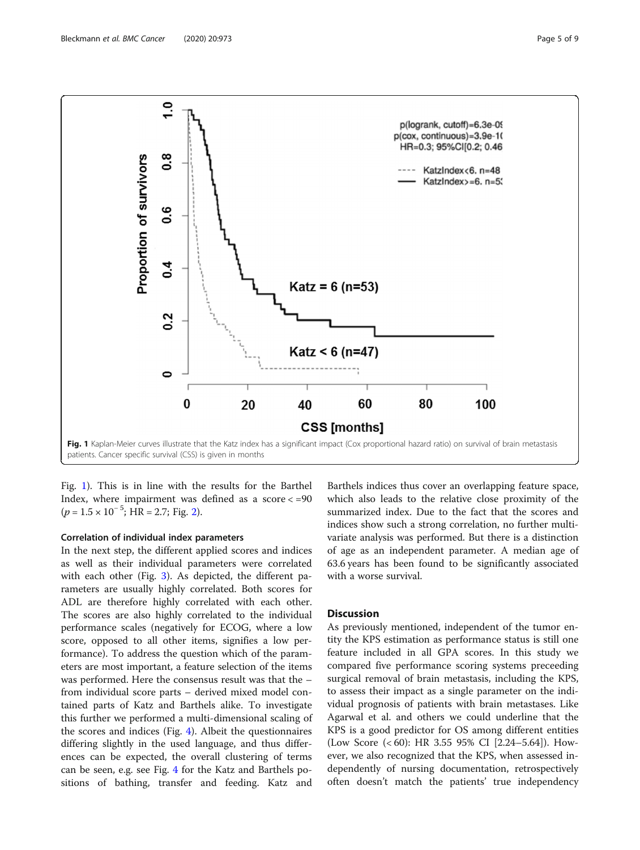<span id="page-4-0"></span>

Fig. 1). This is in line with the results for the Barthel Index, where impairment was defined as a score  $<=90$  $(p = 1.5 \times 10^{-5}$ ; HR = [2](#page-5-0).7; Fig. 2).

#### Correlation of individual index parameters

In the next step, the different applied scores and indices as well as their individual parameters were correlated with each other (Fig. [3](#page-5-0)). As depicted, the different parameters are usually highly correlated. Both scores for ADL are therefore highly correlated with each other. The scores are also highly correlated to the individual performance scales (negatively for ECOG, where a low score, opposed to all other items, signifies a low performance). To address the question which of the parameters are most important, a feature selection of the items was performed. Here the consensus result was that the – from individual score parts – derived mixed model contained parts of Katz and Barthels alike. To investigate this further we performed a multi-dimensional scaling of the scores and indices (Fig. [4](#page-6-0)). Albeit the questionnaires differing slightly in the used language, and thus differences can be expected, the overall clustering of terms can be seen, e.g. see Fig. [4](#page-6-0) for the Katz and Barthels positions of bathing, transfer and feeding. Katz and

Barthels indices thus cover an overlapping feature space, which also leads to the relative close proximity of the summarized index. Due to the fact that the scores and indices show such a strong correlation, no further multivariate analysis was performed. But there is a distinction of age as an independent parameter. A median age of 63.6 years has been found to be significantly associated with a worse survival.

#### **Discussion**

As previously mentioned, independent of the tumor entity the KPS estimation as performance status is still one feature included in all GPA scores. In this study we compared five performance scoring systems preceeding surgical removal of brain metastasis, including the KPS, to assess their impact as a single parameter on the individual prognosis of patients with brain metastases. Like Agarwal et al. and others we could underline that the KPS is a good predictor for OS among different entities (Low Score (< 60): HR 3.55 95% CI [2.24–5.64]). However, we also recognized that the KPS, when assessed independently of nursing documentation, retrospectively often doesn't match the patients' true independency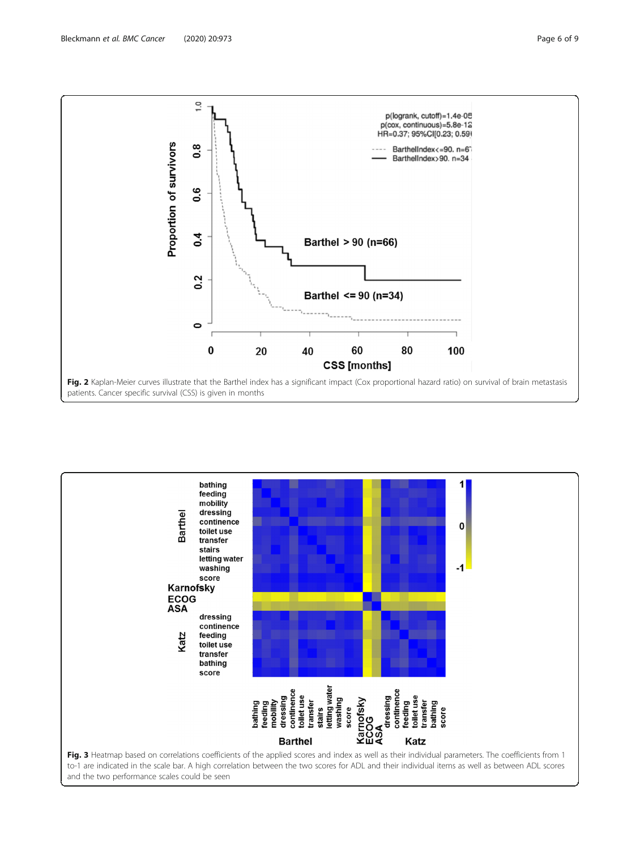<span id="page-5-0"></span>

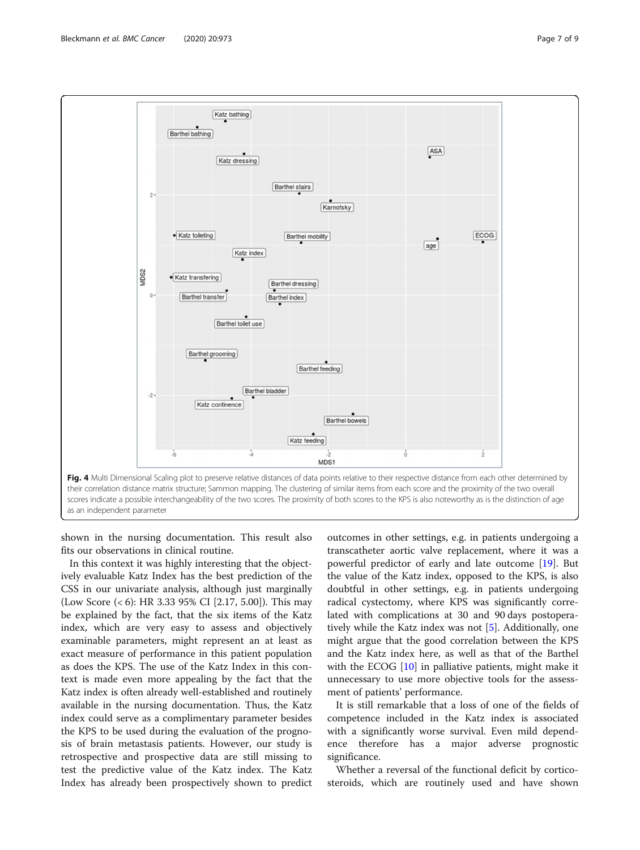<span id="page-6-0"></span>

shown in the nursing documentation. This result also fits our observations in clinical routine.

In this context it was highly interesting that the objectively evaluable Katz Index has the best prediction of the CSS in our univariate analysis, although just marginally (Low Score (< 6): HR 3.33 95% CI [2.17, 5.00]). This may be explained by the fact, that the six items of the Katz index, which are very easy to assess and objectively examinable parameters, might represent an at least as exact measure of performance in this patient population as does the KPS. The use of the Katz Index in this context is made even more appealing by the fact that the Katz index is often already well-established and routinely available in the nursing documentation. Thus, the Katz index could serve as a complimentary parameter besides the KPS to be used during the evaluation of the prognosis of brain metastasis patients. However, our study is retrospective and prospective data are still missing to test the predictive value of the Katz index. The Katz Index has already been prospectively shown to predict

outcomes in other settings, e.g. in patients undergoing a transcatheter aortic valve replacement, where it was a powerful predictor of early and late outcome [[19\]](#page-8-0). But the value of the Katz index, opposed to the KPS, is also doubtful in other settings, e.g. in patients undergoing radical cystectomy, where KPS was significantly correlated with complications at 30 and 90 days postoperatively while the Katz index was not [[5\]](#page-8-0). Additionally, one might argue that the good correlation between the KPS and the Katz index here, as well as that of the Barthel with the ECOG [[10\]](#page-8-0) in palliative patients, might make it unnecessary to use more objective tools for the assessment of patients' performance.

It is still remarkable that a loss of one of the fields of competence included in the Katz index is associated with a significantly worse survival. Even mild dependence therefore has a major adverse prognostic significance.

Whether a reversal of the functional deficit by corticosteroids, which are routinely used and have shown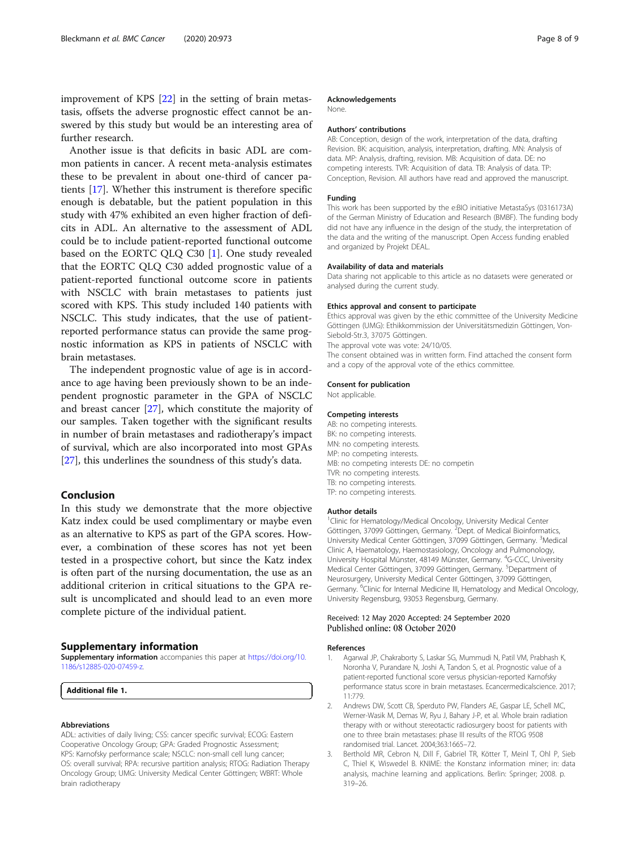<span id="page-7-0"></span>improvement of KPS [[22\]](#page-8-0) in the setting of brain metastasis, offsets the adverse prognostic effect cannot be answered by this study but would be an interesting area of further research.

Another issue is that deficits in basic ADL are common patients in cancer. A recent meta-analysis estimates these to be prevalent in about one-third of cancer patients [[17\]](#page-8-0). Whether this instrument is therefore specific enough is debatable, but the patient population in this study with 47% exhibited an even higher fraction of deficits in ADL. An alternative to the assessment of ADL could be to include patient-reported functional outcome based on the EORTC QLQ C30 [1]. One study revealed that the EORTC QLQ C30 added prognostic value of a patient-reported functional outcome score in patients with NSCLC with brain metastases to patients just scored with KPS. This study included 140 patients with NSCLC. This study indicates, that the use of patientreported performance status can provide the same prognostic information as KPS in patients of NSCLC with brain metastases.

The independent prognostic value of age is in accordance to age having been previously shown to be an independent prognostic parameter in the GPA of NSCLC and breast cancer [\[27](#page-8-0)], which constitute the majority of our samples. Taken together with the significant results in number of brain metastases and radiotherapy's impact of survival, which are also incorporated into most GPAs [[27\]](#page-8-0), this underlines the soundness of this study's data.

#### Conclusion

In this study we demonstrate that the more objective Katz index could be used complimentary or maybe even as an alternative to KPS as part of the GPA scores. However, a combination of these scores has not yet been tested in a prospective cohort, but since the Katz index is often part of the nursing documentation, the use as an additional criterion in critical situations to the GPA result is uncomplicated and should lead to an even more complete picture of the individual patient.

#### Supplementary information

Supplementary information accompanies this paper at [https://doi.org/10.](https://doi.org/10.1186/s12885-020-07459-z) [1186/s12885-020-07459-z.](https://doi.org/10.1186/s12885-020-07459-z)

Additional file 1.

#### Abbreviations

ADL: activities of daily living; CSS: cancer specific survival; ECOG: Eastern Cooperative Oncology Group; GPA: Graded Prognostic Assessment; KPS: Karnofsky performance scale; NSCLC: non-small cell lung cancer; OS: overall survival; RPA: recursive partition analysis; RTOG: Radiation Therapy Oncology Group; UMG: University Medical Center Göttingen; WBRT: Whole brain radiotherapy

#### Acknowledgements

None.

#### Authors' contributions

AB: Conception, design of the work, interpretation of the data, drafting Revision. BK: acquisition, analysis, interpretation, drafting. MN: Analysis of data. MP: Analysis, drafting, revision. MB: Acquisition of data. DE: no competing interests. TVR: Acquisition of data. TB: Analysis of data. TP: Conception, Revision. All authors have read and approved the manuscript.

#### Funding

This work has been supported by the e:BIO initiative MetastaSys (0316173A) of the German Ministry of Education and Research (BMBF). The funding body did not have any influence in the design of the study, the interpretation of the data and the writing of the manuscript. Open Access funding enabled and organized by Projekt DEAL.

#### Availability of data and materials

Data sharing not applicable to this article as no datasets were generated or analysed during the current study.

#### Ethics approval and consent to participate

Ethics approval was given by the ethic committee of the University Medicine Göttingen (UMG): Ethikkommission der Universitätsmedizin Göttingen, Von-Siebold-Str.3, 37075 Göttingen.

The approval vote was vote: 24/10/05.

The consent obtained was in written form. Find attached the consent form and a copy of the approval vote of the ethics committee.

#### Consent for publication

Not applicable.

#### Competing interests

AB: no competing interests. BK: no competing interests. MN: no competing interests. MP: no competing interests. MB: no competing interests DE: no competin TVR: no competing interests. TB: no competing interests. TP: no competing interests.

#### Author details

<sup>1</sup> Clinic for Hematology/Medical Oncology, University Medical Center Göttingen, 37099 Göttingen, Germany. <sup>2</sup>Dept. of Medical Bioinformatics, University Medical Center Göttingen, 37099 Göttingen, Germany. <sup>3</sup>Medical Clinic A, Haematology, Haemostasiology, Oncology and Pulmonology, University Hospital Münster, 48149 Münster, Germany. <sup>4</sup>G-CCC, University Medical Center Göttingen, 37099 Göttingen, Germany. <sup>5</sup>Department of Neurosurgery, University Medical Center Göttingen, 37099 Göttingen, Germany. <sup>6</sup>Clinic for Internal Medicine III, Hematology and Medical Oncology, University Regensburg, 93053 Regensburg, Germany.

#### Received: 12 May 2020 Accepted: 24 September 2020 Published online: 08 October 2020

#### References

- 1. Agarwal JP, Chakraborty S, Laskar SG, Mummudi N, Patil VM, Prabhash K, Noronha V, Purandare N, Joshi A, Tandon S, et al. Prognostic value of a patient-reported functional score versus physician-reported Karnofsky performance status score in brain metastases. Ecancermedicalscience. 2017; 11:779.
- 2. Andrews DW, Scott CB, Sperduto PW, Flanders AE, Gaspar LE, Schell MC, Werner-Wasik M, Demas W, Ryu J, Bahary J-P, et al. Whole brain radiation therapy with or without stereotactic radiosurgery boost for patients with one to three brain metastases: phase III results of the RTOG 9508 randomised trial. Lancet. 2004;363:1665–72.
- 3. Berthold MR, Cebron N, Dill F, Gabriel TR, Kötter T, Meinl T, Ohl P, Sieb C, Thiel K, Wiswedel B. KNIME: the Konstanz information miner; in: data analysis, machine learning and applications. Berlin: Springer; 2008. p. 319–26.